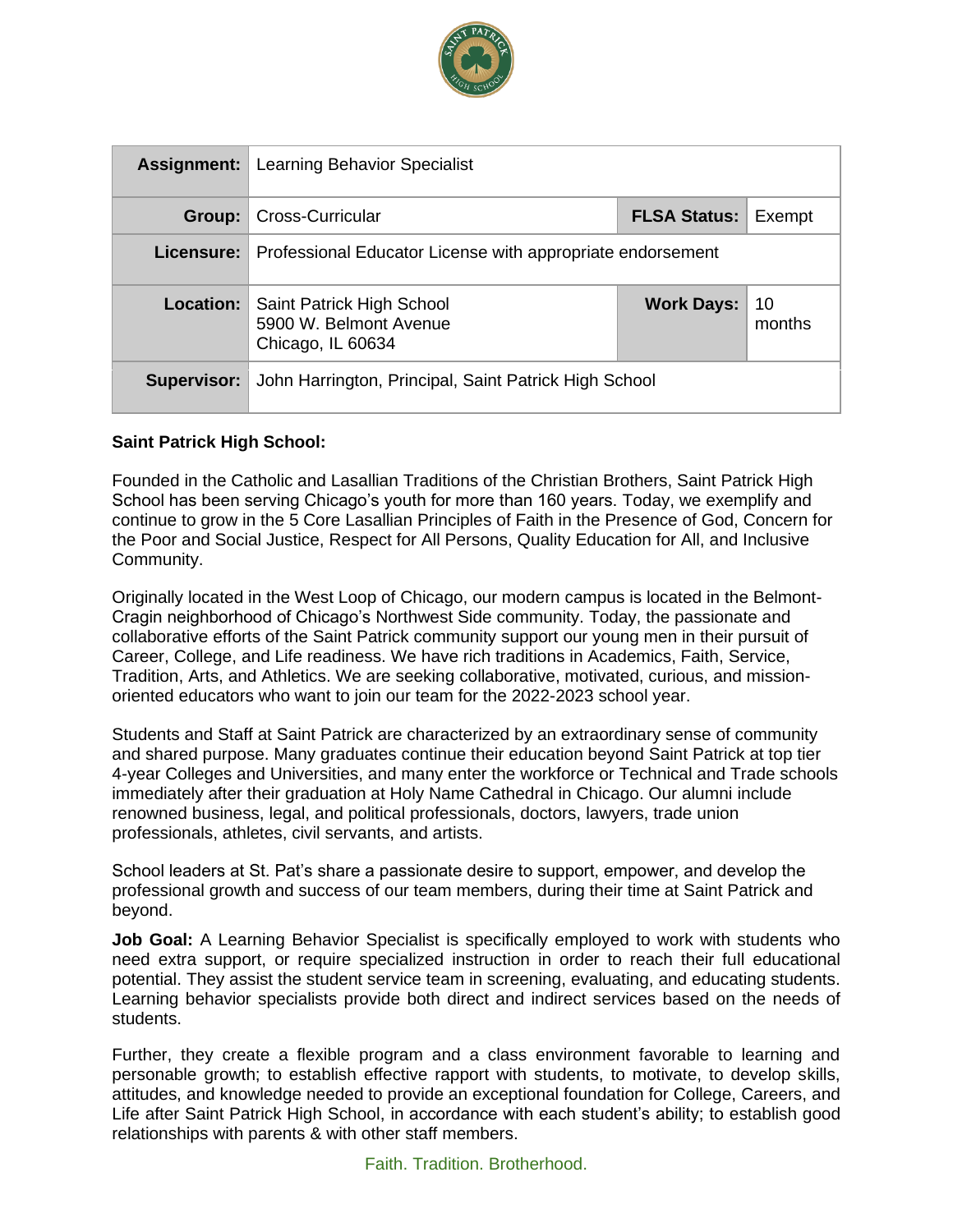

| <b>Assignment:</b> | Learning Behavior Specialist                                             |                     |              |
|--------------------|--------------------------------------------------------------------------|---------------------|--------------|
| Group:             | Cross-Curricular                                                         | <b>FLSA Status:</b> | Exempt       |
| Licensure:         | Professional Educator License with appropriate endorsement               |                     |              |
| <b>Location:</b>   | Saint Patrick High School<br>5900 W. Belmont Avenue<br>Chicago, IL 60634 | <b>Work Days:</b>   | 10<br>months |
| <b>Supervisor:</b> | John Harrington, Principal, Saint Patrick High School                    |                     |              |

### **Saint Patrick High School:**

Founded in the Catholic and Lasallian Traditions of the Christian Brothers, Saint Patrick High School has been serving Chicago's youth for more than 160 years. Today, we exemplify and continue to grow in the 5 Core Lasallian Principles of Faith in the Presence of God, Concern for the Poor and Social Justice, Respect for All Persons, Quality Education for All, and Inclusive Community.

Originally located in the West Loop of Chicago, our modern campus is located in the Belmont-Cragin neighborhood of Chicago's Northwest Side community. Today, the passionate and collaborative efforts of the Saint Patrick community support our young men in their pursuit of Career, College, and Life readiness. We have rich traditions in Academics, Faith, Service, Tradition, Arts, and Athletics. We are seeking collaborative, motivated, curious, and missionoriented educators who want to join our team for the 2022-2023 school year.

Students and Staff at Saint Patrick are characterized by an extraordinary sense of community and shared purpose. Many graduates continue their education beyond Saint Patrick at top tier 4-year Colleges and Universities, and many enter the workforce or Technical and Trade schools immediately after their graduation at Holy Name Cathedral in Chicago. Our alumni include renowned business, legal, and political professionals, doctors, lawyers, trade union professionals, athletes, civil servants, and artists.

School leaders at St. Pat's share a passionate desire to support, empower, and develop the professional growth and success of our team members, during their time at Saint Patrick and beyond.

**Job Goal:** A Learning Behavior Specialist is specifically employed to work with students who need extra support, or require specialized instruction in order to reach their full educational potential. They assist the student service team in screening, evaluating, and educating students. Learning behavior specialists provide both direct and indirect services based on the needs of students.

Further, they create a flexible program and a class environment favorable to learning and personable growth; to establish effective rapport with students, to motivate, to develop skills, attitudes, and knowledge needed to provide an exceptional foundation for College, Careers, and Life after Saint Patrick High School, in accordance with each student's ability; to establish good relationships with parents & with other staff members.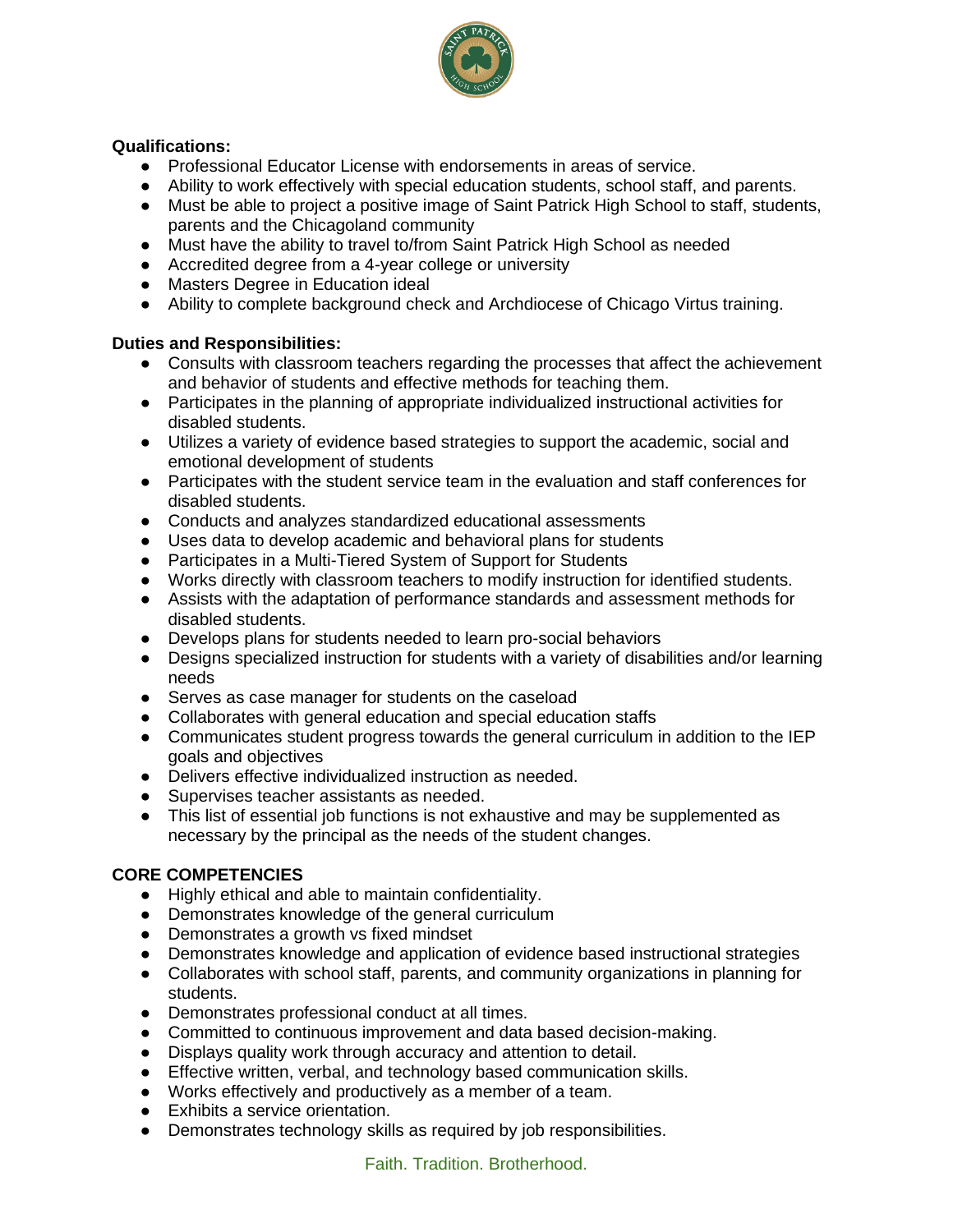

### **Qualifications:**

- Professional Educator License with endorsements in areas of service.
- Ability to work effectively with special education students, school staff, and parents.
- Must be able to project a positive image of Saint Patrick High School to staff, students, parents and the Chicagoland community
- Must have the ability to travel to/from Saint Patrick High School as needed
- Accredited degree from a 4-year college or university
- Masters Degree in Education ideal
- Ability to complete background check and Archdiocese of Chicago Virtus training.

### **Duties and Responsibilities:**

- Consults with classroom teachers regarding the processes that affect the achievement and behavior of students and effective methods for teaching them.
- Participates in the planning of appropriate individualized instructional activities for disabled students.
- Utilizes a variety of evidence based strategies to support the academic, social and emotional development of students
- Participates with the student service team in the evaluation and staff conferences for disabled students.
- Conducts and analyzes standardized educational assessments
- Uses data to develop academic and behavioral plans for students
- Participates in a Multi-Tiered System of Support for Students
- Works directly with classroom teachers to modify instruction for identified students.
- Assists with the adaptation of performance standards and assessment methods for disabled students.
- Develops plans for students needed to learn pro-social behaviors
- Designs specialized instruction for students with a variety of disabilities and/or learning needs
- Serves as case manager for students on the caseload
- Collaborates with general education and special education staffs
- Communicates student progress towards the general curriculum in addition to the IEP goals and objectives
- Delivers effective individualized instruction as needed.
- Supervises teacher assistants as needed.
- This list of essential job functions is not exhaustive and may be supplemented as necessary by the principal as the needs of the student changes.

### **CORE COMPETENCIES**

- Highly ethical and able to maintain confidentiality.
- Demonstrates knowledge of the general curriculum
- Demonstrates a growth vs fixed mindset
- Demonstrates knowledge and application of evidence based instructional strategies
- Collaborates with school staff, parents, and community organizations in planning for students.
- Demonstrates professional conduct at all times.
- Committed to continuous improvement and data based decision-making.
- Displays quality work through accuracy and attention to detail.
- Effective written, verbal, and technology based communication skills.
- Works effectively and productively as a member of a team.
- Exhibits a service orientation.
- Demonstrates technology skills as required by job responsibilities.